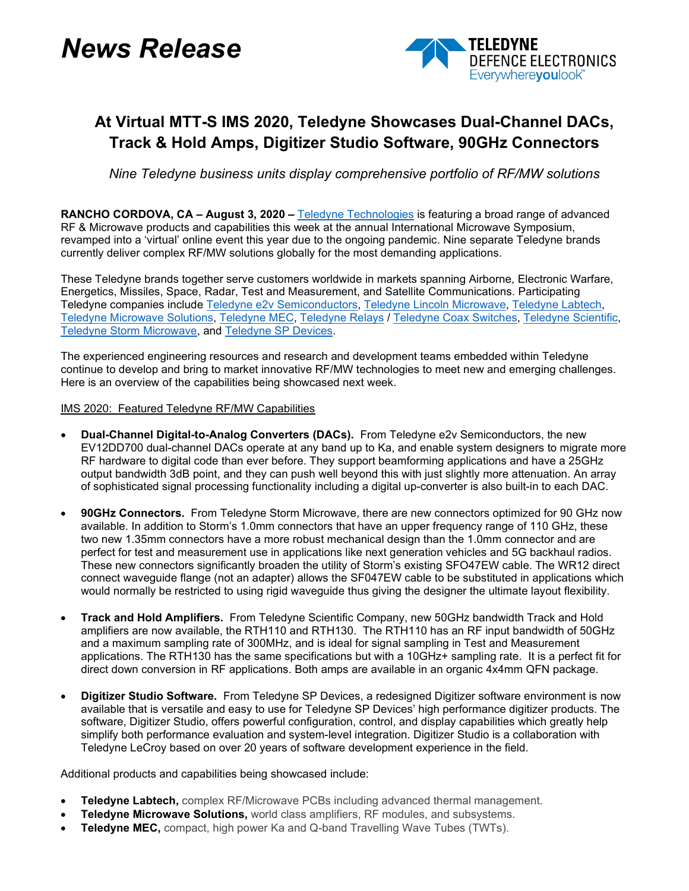# *News Release*



## **At Virtual MTT-S IMS 2020, Teledyne Showcases Dual-Channel DACs, Track & Hold Amps, Digitizer Studio Software, 90GHz Connectors**

*Nine Teledyne business units display comprehensive portfolio of RF/MW solutions*

**RANCHO CORDOVA, CA – August 3, 2020 –** [Teledyne Technologies](http://www.teledyne.com/) is featuring a broad range of advanced RF & Microwave products and capabilities this week at the annual International Microwave Symposium, revamped into a 'virtual' online event this year due to the ongoing pandemic. Nine separate Teledyne brands currently deliver complex RF/MW solutions globally for the most demanding applications.

These Teledyne brands together serve customers worldwide in markets spanning Airborne, Electronic Warfare, Energetics, Missiles, Space, Radar, Test and Measurement, and Satellite Communications. Participating Teledyne companies include [Teledyne e2v Semiconductors,](https://www.teledyne-e2v.com/products/semiconductors/) [Teledyne Lincoln Microwave,](https://www.teledyne-e2v.com/markets/defence/) [Teledyne Labtech,](http://www.teledynemicrowave.com/index.php/teledyne-microwave-our-businesses/teledyne-labtech) [Teledyne Microwave Solutions,](http://www.teledynemicrowave.com/teledyne-microwave-satcom-products) [Teledyne MEC,](http://www.teledynemicrowave.com/teledyne-microwave-twts) [Teledyne Relays](https://www.teledynerelays.com/) / [Teledyne Coax Switches,](https://www.teledynecoax.com/) [Teledyne Scientific,](http://www.teledyne-si.com/) [Teledyne Storm Microwave,](https://www.teledynedefenseelectronics.com/storm/Pages/Storm%20Microwave.aspx) and [Teledyne SP Devices.](https://www.spdevices.com/)

The experienced engineering resources and research and development teams embedded within Teledyne continue to develop and bring to market innovative RF/MW technologies to meet new and emerging challenges. Here is an overview of the capabilities being showcased next week.

### IMS 2020: Featured Teledyne RF/MW Capabilities

- **Dual-Channel Digital-to-Analog Converters (DACs).** From Teledyne e2v Semiconductors, the new EV12DD700 dual-channel DACs operate at any band up to Ka, and enable system designers to migrate more RF hardware to digital code than ever before. They support beamforming applications and have a 25GHz output bandwidth 3dB point, and they can push well beyond this with just slightly more attenuation. An array of sophisticated signal processing functionality including a digital up-converter is also built-in to each DAC.
- **90GHz Connectors.** From Teledyne Storm Microwave, there are new connectors optimized for 90 GHz now available. In addition to Storm's 1.0mm connectors that have an upper frequency range of 110 GHz, these two new 1.35mm connectors have a more robust mechanical design than the 1.0mm connector and are perfect for test and measurement use in applications like next generation vehicles and 5G backhaul radios. These new connectors significantly broaden the utility of Storm's existing SFO47EW cable. The WR12 direct connect waveguide flange (not an adapter) allows the SF047EW cable to be substituted in applications which would normally be restricted to using rigid waveguide thus giving the designer the ultimate layout flexibility.
- **Track and Hold Amplifiers.** From Teledyne Scientific Company, new 50GHz bandwidth Track and Hold amplifiers are now available, the RTH110 and RTH130. The RTH110 has an RF input bandwidth of 50GHz and a maximum sampling rate of 300MHz, and is ideal for signal sampling in Test and Measurement applications. The RTH130 has the same specifications but with a 10GHz+ sampling rate. It is a perfect fit for direct down conversion in RF applications. Both amps are available in an organic 4x4mm QFN package.
- **Digitizer Studio Software.** From Teledyne SP Devices, a redesigned Digitizer software environment is now available that is versatile and easy to use for Teledyne SP Devices' high performance digitizer products. The software, Digitizer Studio, offers powerful configuration, control, and display capabilities which greatly help simplify both performance evaluation and system-level integration. Digitizer Studio is a collaboration with Teledyne LeCroy based on over 20 years of software development experience in the field.

Additional products and capabilities being showcased include:

- **Teledyne Labtech,** complex RF/Microwave PCBs including advanced thermal management.
- **Teledyne Microwave Solutions,** world class amplifiers, RF modules, and subsystems.
- **Teledyne MEC,** compact, high power Ka and Q-band Travelling Wave Tubes (TWTs).